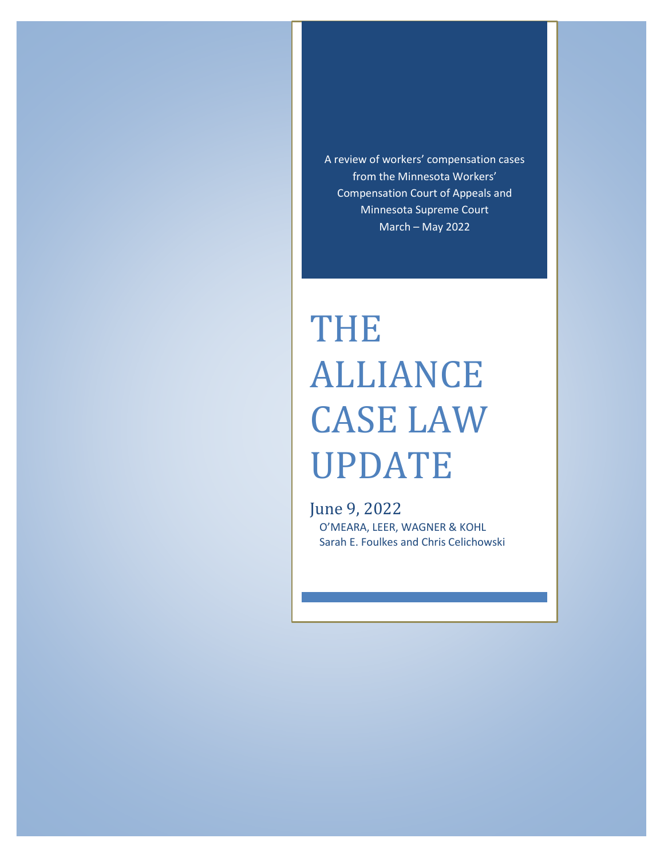A review of workers' compensation cases from the Minnesota Workers' Compensation Court of Appeals and Minnesota Supreme Court March – May 2022

# THE ALLIANCE CASE LAW UPDATE

June 9, 2022 O'MEARA, LEER, WAGNER & KOHL Sarah E. Foulkes and Chris Celichowski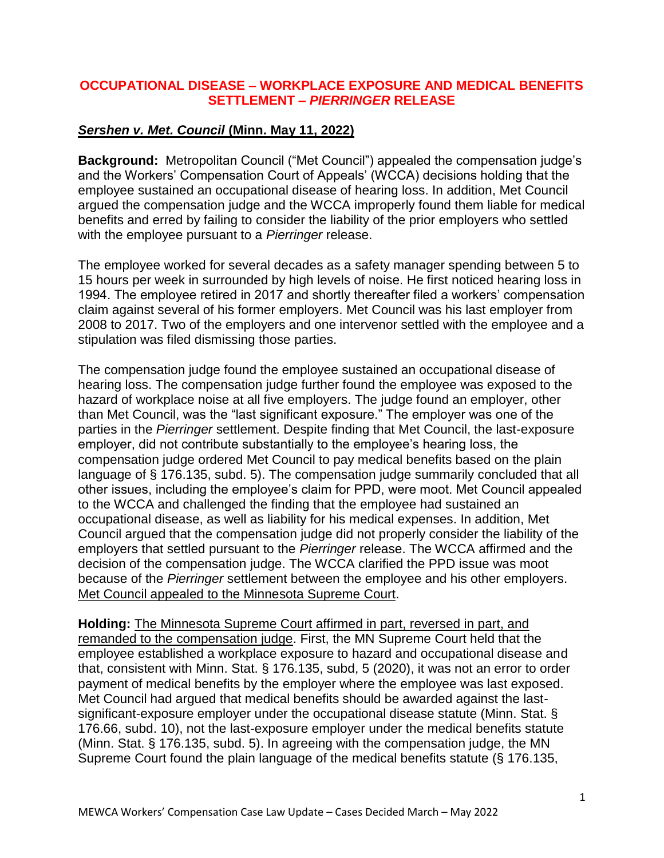## **OCCUPATIONAL DISEASE – WORKPLACE EXPOSURE AND MEDICAL BENEFITS SETTLEMENT –** *PIERRINGER* **RELEASE**

# *Sershen v. Met. Council* **(Minn. May 11, 2022)**

**Background:** Metropolitan Council ("Met Council") appealed the compensation judge's and the Workers' Compensation Court of Appeals' (WCCA) decisions holding that the employee sustained an occupational disease of hearing loss. In addition, Met Council argued the compensation judge and the WCCA improperly found them liable for medical benefits and erred by failing to consider the liability of the prior employers who settled with the employee pursuant to a *Pierringer* release.

The employee worked for several decades as a safety manager spending between 5 to 15 hours per week in surrounded by high levels of noise. He first noticed hearing loss in 1994. The employee retired in 2017 and shortly thereafter filed a workers' compensation claim against several of his former employers. Met Council was his last employer from 2008 to 2017. Two of the employers and one intervenor settled with the employee and a stipulation was filed dismissing those parties.

The compensation judge found the employee sustained an occupational disease of hearing loss. The compensation judge further found the employee was exposed to the hazard of workplace noise at all five employers. The judge found an employer, other than Met Council, was the "last significant exposure." The employer was one of the parties in the *Pierringer* settlement. Despite finding that Met Council, the last-exposure employer, did not contribute substantially to the employee's hearing loss, the compensation judge ordered Met Council to pay medical benefits based on the plain language of § 176.135, subd. 5). The compensation judge summarily concluded that all other issues, including the employee's claim for PPD, were moot. Met Council appealed to the WCCA and challenged the finding that the employee had sustained an occupational disease, as well as liability for his medical expenses. In addition, Met Council argued that the compensation judge did not properly consider the liability of the employers that settled pursuant to the *Pierringer* release. The WCCA affirmed and the decision of the compensation judge. The WCCA clarified the PPD issue was moot because of the *Pierringer* settlement between the employee and his other employers. Met Council appealed to the Minnesota Supreme Court.

**Holding:** The Minnesota Supreme Court affirmed in part, reversed in part, and remanded to the compensation judge. First, the MN Supreme Court held that the employee established a workplace exposure to hazard and occupational disease and that, consistent with Minn. Stat. § 176.135, subd, 5 (2020), it was not an error to order payment of medical benefits by the employer where the employee was last exposed. Met Council had argued that medical benefits should be awarded against the lastsignificant-exposure employer under the occupational disease statute (Minn. Stat. § 176.66, subd. 10), not the last-exposure employer under the medical benefits statute (Minn. Stat. § 176.135, subd. 5). In agreeing with the compensation judge, the MN Supreme Court found the plain language of the medical benefits statute (§ 176.135,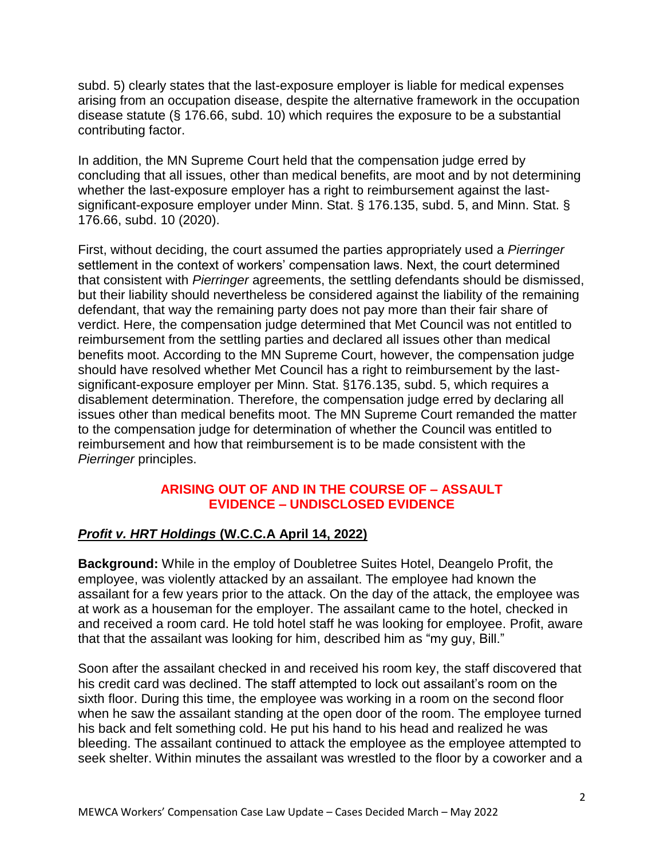subd. 5) clearly states that the last-exposure employer is liable for medical expenses arising from an occupation disease, despite the alternative framework in the occupation disease statute (§ 176.66, subd. 10) which requires the exposure to be a substantial contributing factor.

In addition, the MN Supreme Court held that the compensation judge erred by concluding that all issues, other than medical benefits, are moot and by not determining whether the last-exposure employer has a right to reimbursement against the lastsignificant-exposure employer under Minn. Stat. § 176.135, subd. 5, and Minn. Stat. § 176.66, subd. 10 (2020).

First, without deciding, the court assumed the parties appropriately used a *Pierringer* settlement in the context of workers' compensation laws. Next, the court determined that consistent with *Pierringer* agreements, the settling defendants should be dismissed, but their liability should nevertheless be considered against the liability of the remaining defendant, that way the remaining party does not pay more than their fair share of verdict. Here, the compensation judge determined that Met Council was not entitled to reimbursement from the settling parties and declared all issues other than medical benefits moot. According to the MN Supreme Court, however, the compensation judge should have resolved whether Met Council has a right to reimbursement by the lastsignificant-exposure employer per Minn. Stat. §176.135, subd. 5, which requires a disablement determination. Therefore, the compensation judge erred by declaring all issues other than medical benefits moot. The MN Supreme Court remanded the matter to the compensation judge for determination of whether the Council was entitled to reimbursement and how that reimbursement is to be made consistent with the *Pierringer* principles.

#### **ARISING OUT OF AND IN THE COURSE OF – ASSAULT EVIDENCE – UNDISCLOSED EVIDENCE**

# *Profit v. HRT Holdings* **(W.C.C.A April 14, 2022)**

**Background:** While in the employ of Doubletree Suites Hotel, Deangelo Profit, the employee, was violently attacked by an assailant. The employee had known the assailant for a few years prior to the attack. On the day of the attack, the employee was at work as a houseman for the employer. The assailant came to the hotel, checked in and received a room card. He told hotel staff he was looking for employee. Profit, aware that that the assailant was looking for him, described him as "my guy, Bill."

Soon after the assailant checked in and received his room key, the staff discovered that his credit card was declined. The staff attempted to lock out assailant's room on the sixth floor. During this time, the employee was working in a room on the second floor when he saw the assailant standing at the open door of the room. The employee turned his back and felt something cold. He put his hand to his head and realized he was bleeding. The assailant continued to attack the employee as the employee attempted to seek shelter. Within minutes the assailant was wrestled to the floor by a coworker and a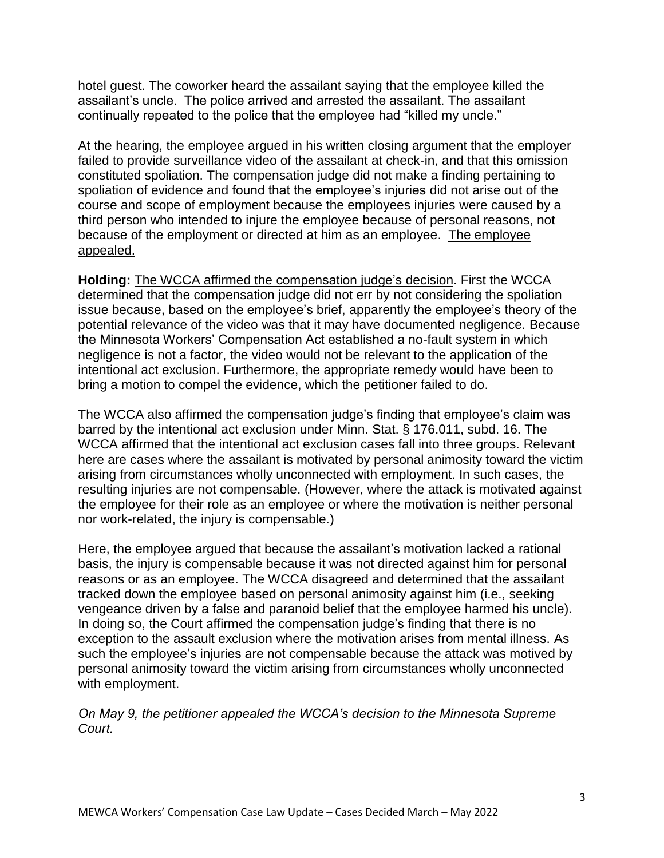hotel guest. The coworker heard the assailant saying that the employee killed the assailant's uncle. The police arrived and arrested the assailant. The assailant continually repeated to the police that the employee had "killed my uncle."

At the hearing, the employee argued in his written closing argument that the employer failed to provide surveillance video of the assailant at check-in, and that this omission constituted spoliation. The compensation judge did not make a finding pertaining to spoliation of evidence and found that the employee's injuries did not arise out of the course and scope of employment because the employees injuries were caused by a third person who intended to injure the employee because of personal reasons, not because of the employment or directed at him as an employee. The employee appealed.

**Holding:** The WCCA affirmed the compensation judge's decision. First the WCCA determined that the compensation judge did not err by not considering the spoliation issue because, based on the employee's brief, apparently the employee's theory of the potential relevance of the video was that it may have documented negligence. Because the Minnesota Workers' Compensation Act established a no-fault system in which negligence is not a factor, the video would not be relevant to the application of the intentional act exclusion. Furthermore, the appropriate remedy would have been to bring a motion to compel the evidence, which the petitioner failed to do.

The WCCA also affirmed the compensation judge's finding that employee's claim was barred by the intentional act exclusion under Minn. Stat. § 176.011, subd. 16. The WCCA affirmed that the intentional act exclusion cases fall into three groups. Relevant here are cases where the assailant is motivated by personal animosity toward the victim arising from circumstances wholly unconnected with employment. In such cases, the resulting injuries are not compensable. (However, where the attack is motivated against the employee for their role as an employee or where the motivation is neither personal nor work-related, the injury is compensable.)

Here, the employee argued that because the assailant's motivation lacked a rational basis, the injury is compensable because it was not directed against him for personal reasons or as an employee. The WCCA disagreed and determined that the assailant tracked down the employee based on personal animosity against him (i.e., seeking vengeance driven by a false and paranoid belief that the employee harmed his uncle). In doing so, the Court affirmed the compensation judge's finding that there is no exception to the assault exclusion where the motivation arises from mental illness. As such the employee's injuries are not compensable because the attack was motived by personal animosity toward the victim arising from circumstances wholly unconnected with employment.

*On May 9, the petitioner appealed the WCCA's decision to the Minnesota Supreme Court.*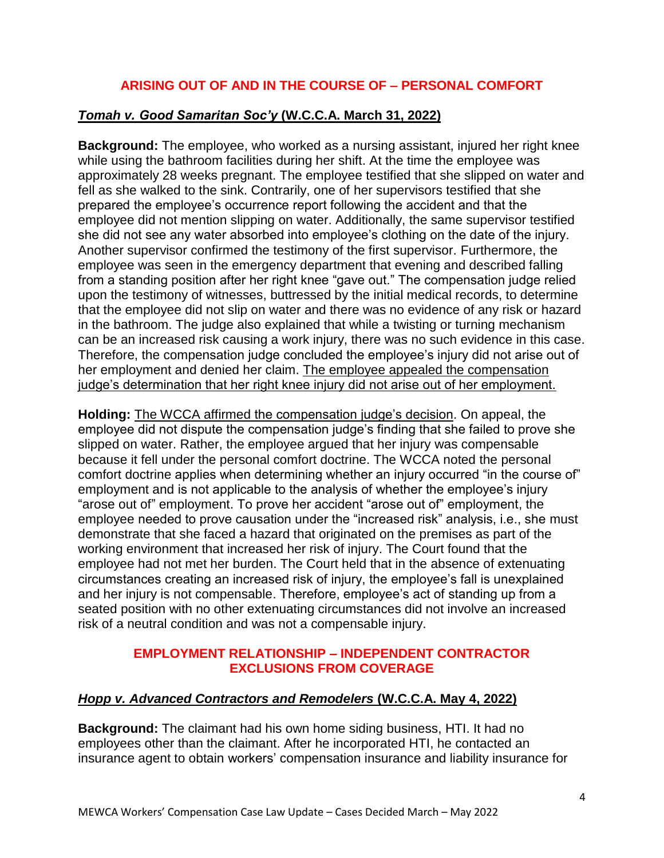# **ARISING OUT OF AND IN THE COURSE OF – PERSONAL COMFORT**

## *Tomah v. Good Samaritan Soc'y* **(W.C.C.A. March 31, 2022)**

**Background:** The employee, who worked as a nursing assistant, injured her right knee while using the bathroom facilities during her shift. At the time the employee was approximately 28 weeks pregnant. The employee testified that she slipped on water and fell as she walked to the sink. Contrarily, one of her supervisors testified that she prepared the employee's occurrence report following the accident and that the employee did not mention slipping on water. Additionally, the same supervisor testified she did not see any water absorbed into employee's clothing on the date of the injury. Another supervisor confirmed the testimony of the first supervisor. Furthermore, the employee was seen in the emergency department that evening and described falling from a standing position after her right knee "gave out." The compensation judge relied upon the testimony of witnesses, buttressed by the initial medical records, to determine that the employee did not slip on water and there was no evidence of any risk or hazard in the bathroom. The judge also explained that while a twisting or turning mechanism can be an increased risk causing a work injury, there was no such evidence in this case. Therefore, the compensation judge concluded the employee's injury did not arise out of her employment and denied her claim. The employee appealed the compensation judge's determination that her right knee injury did not arise out of her employment.

**Holding:** The WCCA affirmed the compensation judge's decision. On appeal, the employee did not dispute the compensation judge's finding that she failed to prove she slipped on water. Rather, the employee argued that her injury was compensable because it fell under the personal comfort doctrine. The WCCA noted the personal comfort doctrine applies when determining whether an injury occurred "in the course of" employment and is not applicable to the analysis of whether the employee's injury "arose out of" employment. To prove her accident "arose out of" employment, the employee needed to prove causation under the "increased risk" analysis, i.e., she must demonstrate that she faced a hazard that originated on the premises as part of the working environment that increased her risk of injury. The Court found that the employee had not met her burden. The Court held that in the absence of extenuating circumstances creating an increased risk of injury, the employee's fall is unexplained and her injury is not compensable. Therefore, employee's act of standing up from a seated position with no other extenuating circumstances did not involve an increased risk of a neutral condition and was not a compensable injury.

## **EMPLOYMENT RELATIONSHIP – INDEPENDENT CONTRACTOR EXCLUSIONS FROM COVERAGE**

#### *Hopp v. Advanced Contractors and Remodelers* **(W.C.C.A. May 4, 2022)**

**Background:** The claimant had his own home siding business, HTI. It had no employees other than the claimant. After he incorporated HTI, he contacted an insurance agent to obtain workers' compensation insurance and liability insurance for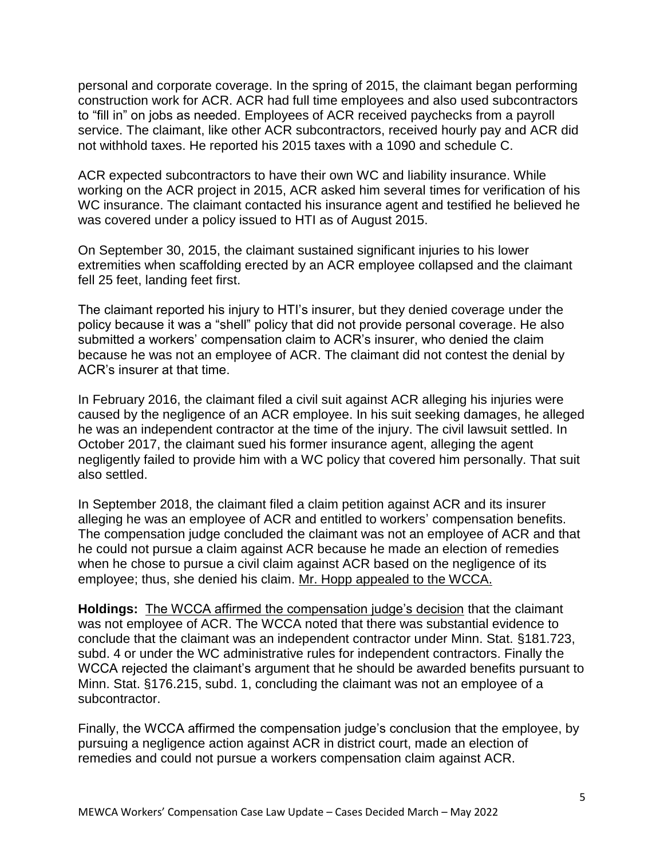personal and corporate coverage. In the spring of 2015, the claimant began performing construction work for ACR. ACR had full time employees and also used subcontractors to "fill in" on jobs as needed. Employees of ACR received paychecks from a payroll service. The claimant, like other ACR subcontractors, received hourly pay and ACR did not withhold taxes. He reported his 2015 taxes with a 1090 and schedule C.

ACR expected subcontractors to have their own WC and liability insurance. While working on the ACR project in 2015, ACR asked him several times for verification of his WC insurance. The claimant contacted his insurance agent and testified he believed he was covered under a policy issued to HTI as of August 2015.

On September 30, 2015, the claimant sustained significant injuries to his lower extremities when scaffolding erected by an ACR employee collapsed and the claimant fell 25 feet, landing feet first.

The claimant reported his injury to HTI's insurer, but they denied coverage under the policy because it was a "shell" policy that did not provide personal coverage. He also submitted a workers' compensation claim to ACR's insurer, who denied the claim because he was not an employee of ACR. The claimant did not contest the denial by ACR's insurer at that time.

In February 2016, the claimant filed a civil suit against ACR alleging his injuries were caused by the negligence of an ACR employee. In his suit seeking damages, he alleged he was an independent contractor at the time of the injury. The civil lawsuit settled. In October 2017, the claimant sued his former insurance agent, alleging the agent negligently failed to provide him with a WC policy that covered him personally. That suit also settled.

In September 2018, the claimant filed a claim petition against ACR and its insurer alleging he was an employee of ACR and entitled to workers' compensation benefits. The compensation judge concluded the claimant was not an employee of ACR and that he could not pursue a claim against ACR because he made an election of remedies when he chose to pursue a civil claim against ACR based on the negligence of its employee; thus, she denied his claim. Mr. Hopp appealed to the WCCA.

**Holdings:** The WCCA affirmed the compensation judge's decision that the claimant was not employee of ACR. The WCCA noted that there was substantial evidence to conclude that the claimant was an independent contractor under Minn. Stat. §181.723, subd. 4 or under the WC administrative rules for independent contractors. Finally the WCCA rejected the claimant's argument that he should be awarded benefits pursuant to Minn. Stat. §176.215, subd. 1, concluding the claimant was not an employee of a subcontractor.

Finally, the WCCA affirmed the compensation judge's conclusion that the employee, by pursuing a negligence action against ACR in district court, made an election of remedies and could not pursue a workers compensation claim against ACR.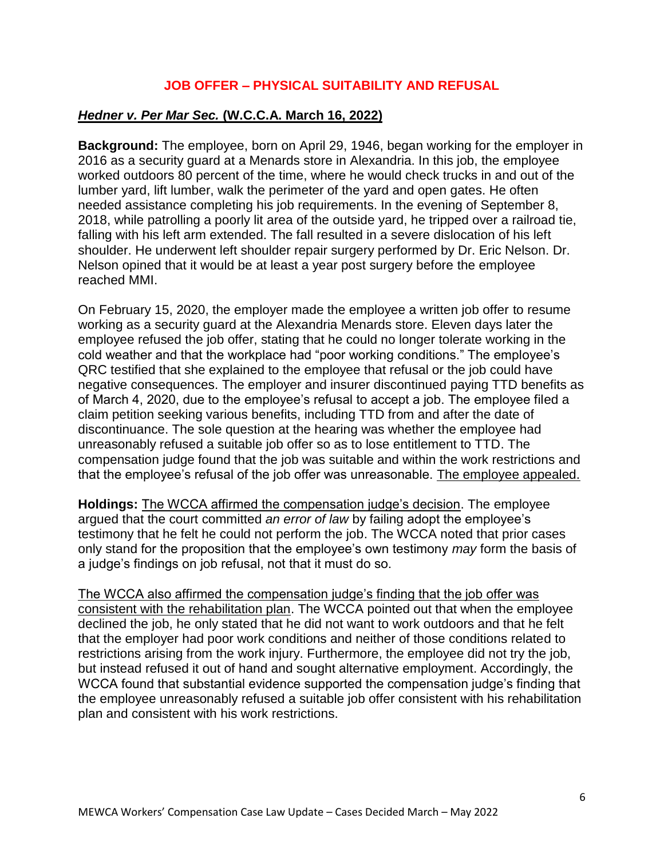# **JOB OFFER – PHYSICAL SUITABILITY AND REFUSAL**

#### *Hedner v. Per Mar Sec.* **(W.C.C.A. March 16, 2022)**

**Background:** The employee, born on April 29, 1946, began working for the employer in 2016 as a security guard at a Menards store in Alexandria. In this job, the employee worked outdoors 80 percent of the time, where he would check trucks in and out of the lumber yard, lift lumber, walk the perimeter of the yard and open gates. He often needed assistance completing his job requirements. In the evening of September 8, 2018, while patrolling a poorly lit area of the outside yard, he tripped over a railroad tie, falling with his left arm extended. The fall resulted in a severe dislocation of his left shoulder. He underwent left shoulder repair surgery performed by Dr. Eric Nelson. Dr. Nelson opined that it would be at least a year post surgery before the employee reached MMI.

On February 15, 2020, the employer made the employee a written job offer to resume working as a security guard at the Alexandria Menards store. Eleven days later the employee refused the job offer, stating that he could no longer tolerate working in the cold weather and that the workplace had "poor working conditions." The employee's QRC testified that she explained to the employee that refusal or the job could have negative consequences. The employer and insurer discontinued paying TTD benefits as of March 4, 2020, due to the employee's refusal to accept a job. The employee filed a claim petition seeking various benefits, including TTD from and after the date of discontinuance. The sole question at the hearing was whether the employee had unreasonably refused a suitable job offer so as to lose entitlement to TTD. The compensation judge found that the job was suitable and within the work restrictions and that the employee's refusal of the job offer was unreasonable. The employee appealed.

**Holdings:** The WCCA affirmed the compensation judge's decision. The employee argued that the court committed *an error of law* by failing adopt the employee's testimony that he felt he could not perform the job. The WCCA noted that prior cases only stand for the proposition that the employee's own testimony *may* form the basis of a judge's findings on job refusal, not that it must do so.

The WCCA also affirmed the compensation judge's finding that the job offer was consistent with the rehabilitation plan. The WCCA pointed out that when the employee declined the job, he only stated that he did not want to work outdoors and that he felt that the employer had poor work conditions and neither of those conditions related to restrictions arising from the work injury. Furthermore, the employee did not try the job, but instead refused it out of hand and sought alternative employment. Accordingly, the WCCA found that substantial evidence supported the compensation judge's finding that the employee unreasonably refused a suitable job offer consistent with his rehabilitation plan and consistent with his work restrictions.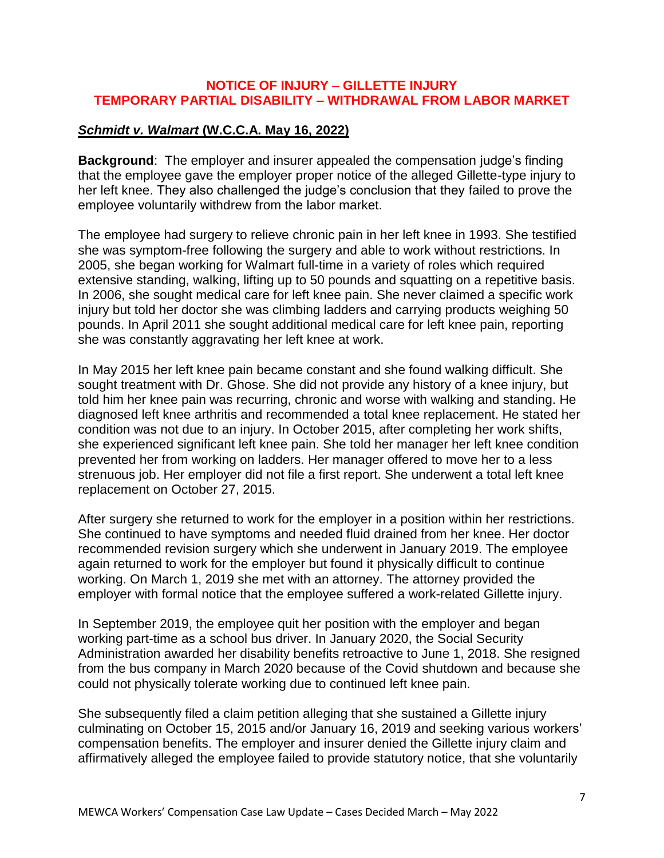## **NOTICE OF INJURY – GILLETTE INJURY TEMPORARY PARTIAL DISABILITY – WITHDRAWAL FROM LABOR MARKET**

#### *Schmidt v. Walmart* **(W.C.C.A. May 16, 2022)**

**Background**: The employer and insurer appealed the compensation judge's finding that the employee gave the employer proper notice of the alleged Gillette-type injury to her left knee. They also challenged the judge's conclusion that they failed to prove the employee voluntarily withdrew from the labor market.

The employee had surgery to relieve chronic pain in her left knee in 1993. She testified she was symptom-free following the surgery and able to work without restrictions. In 2005, she began working for Walmart full-time in a variety of roles which required extensive standing, walking, lifting up to 50 pounds and squatting on a repetitive basis. In 2006, she sought medical care for left knee pain. She never claimed a specific work injury but told her doctor she was climbing ladders and carrying products weighing 50 pounds. In April 2011 she sought additional medical care for left knee pain, reporting she was constantly aggravating her left knee at work.

In May 2015 her left knee pain became constant and she found walking difficult. She sought treatment with Dr. Ghose. She did not provide any history of a knee injury, but told him her knee pain was recurring, chronic and worse with walking and standing. He diagnosed left knee arthritis and recommended a total knee replacement. He stated her condition was not due to an injury. In October 2015, after completing her work shifts, she experienced significant left knee pain. She told her manager her left knee condition prevented her from working on ladders. Her manager offered to move her to a less strenuous job. Her employer did not file a first report. She underwent a total left knee replacement on October 27, 2015.

After surgery she returned to work for the employer in a position within her restrictions. She continued to have symptoms and needed fluid drained from her knee. Her doctor recommended revision surgery which she underwent in January 2019. The employee again returned to work for the employer but found it physically difficult to continue working. On March 1, 2019 she met with an attorney. The attorney provided the employer with formal notice that the employee suffered a work-related Gillette injury.

In September 2019, the employee quit her position with the employer and began working part-time as a school bus driver. In January 2020, the Social Security Administration awarded her disability benefits retroactive to June 1, 2018. She resigned from the bus company in March 2020 because of the Covid shutdown and because she could not physically tolerate working due to continued left knee pain.

She subsequently filed a claim petition alleging that she sustained a Gillette injury culminating on October 15, 2015 and/or January 16, 2019 and seeking various workers' compensation benefits. The employer and insurer denied the Gillette injury claim and affirmatively alleged the employee failed to provide statutory notice, that she voluntarily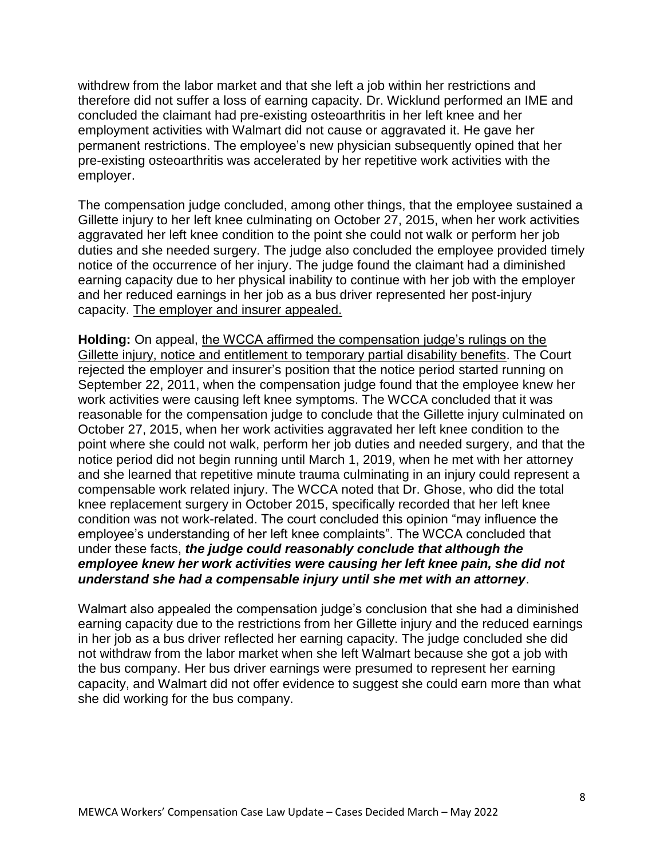withdrew from the labor market and that she left a job within her restrictions and therefore did not suffer a loss of earning capacity. Dr. Wicklund performed an IME and concluded the claimant had pre-existing osteoarthritis in her left knee and her employment activities with Walmart did not cause or aggravated it. He gave her permanent restrictions. The employee's new physician subsequently opined that her pre-existing osteoarthritis was accelerated by her repetitive work activities with the employer.

The compensation judge concluded, among other things, that the employee sustained a Gillette injury to her left knee culminating on October 27, 2015, when her work activities aggravated her left knee condition to the point she could not walk or perform her job duties and she needed surgery. The judge also concluded the employee provided timely notice of the occurrence of her injury. The judge found the claimant had a diminished earning capacity due to her physical inability to continue with her job with the employer and her reduced earnings in her job as a bus driver represented her post-injury capacity. The employer and insurer appealed.

**Holding:** On appeal, the WCCA affirmed the compensation judge's rulings on the Gillette injury, notice and entitlement to temporary partial disability benefits. The Court rejected the employer and insurer's position that the notice period started running on September 22, 2011, when the compensation judge found that the employee knew her work activities were causing left knee symptoms. The WCCA concluded that it was reasonable for the compensation judge to conclude that the Gillette injury culminated on October 27, 2015, when her work activities aggravated her left knee condition to the point where she could not walk, perform her job duties and needed surgery, and that the notice period did not begin running until March 1, 2019, when he met with her attorney and she learned that repetitive minute trauma culminating in an injury could represent a compensable work related injury. The WCCA noted that Dr. Ghose, who did the total knee replacement surgery in October 2015, specifically recorded that her left knee condition was not work-related. The court concluded this opinion "may influence the employee's understanding of her left knee complaints". The WCCA concluded that under these facts, *the judge could reasonably conclude that although the employee knew her work activities were causing her left knee pain, she did not understand she had a compensable injury until she met with an attorney*.

Walmart also appealed the compensation judge's conclusion that she had a diminished earning capacity due to the restrictions from her Gillette injury and the reduced earnings in her job as a bus driver reflected her earning capacity. The judge concluded she did not withdraw from the labor market when she left Walmart because she got a job with the bus company. Her bus driver earnings were presumed to represent her earning capacity, and Walmart did not offer evidence to suggest she could earn more than what she did working for the bus company.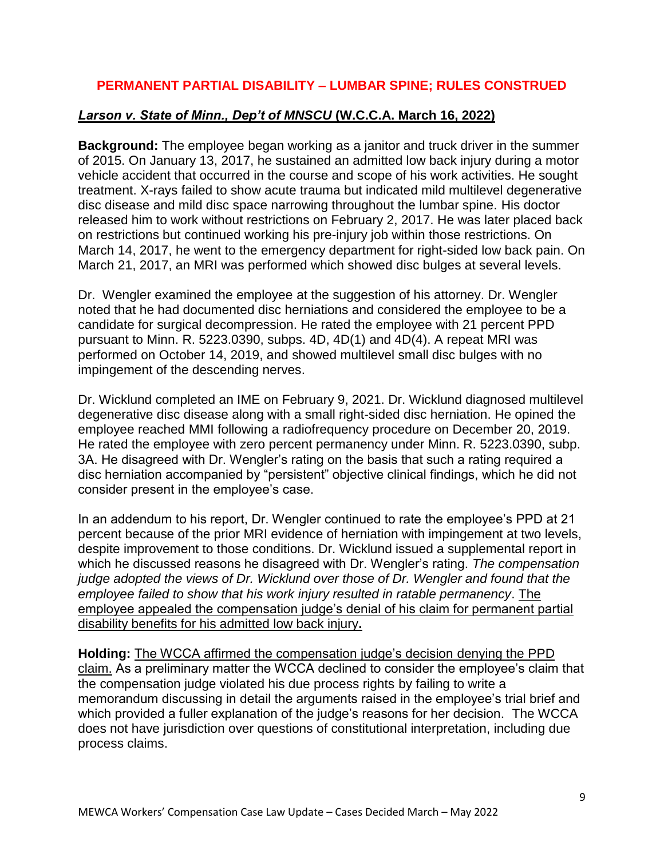# **PERMANENT PARTIAL DISABILITY – LUMBAR SPINE; RULES CONSTRUED**

#### *Larson v. State of Minn., Dep't of MNSCU* **(W.C.C.A. March 16, 2022)**

**Background:** The employee began working as a janitor and truck driver in the summer of 2015. On January 13, 2017, he sustained an admitted low back injury during a motor vehicle accident that occurred in the course and scope of his work activities. He sought treatment. X-rays failed to show acute trauma but indicated mild multilevel degenerative disc disease and mild disc space narrowing throughout the lumbar spine. His doctor released him to work without restrictions on February 2, 2017. He was later placed back on restrictions but continued working his pre-injury job within those restrictions. On March 14, 2017, he went to the emergency department for right-sided low back pain. On March 21, 2017, an MRI was performed which showed disc bulges at several levels.

Dr. Wengler examined the employee at the suggestion of his attorney. Dr. Wengler noted that he had documented disc herniations and considered the employee to be a candidate for surgical decompression. He rated the employee with 21 percent PPD pursuant to Minn. R. 5223.0390, subps. 4D, 4D(1) and 4D(4). A repeat MRI was performed on October 14, 2019, and showed multilevel small disc bulges with no impingement of the descending nerves.

Dr. Wicklund completed an IME on February 9, 2021. Dr. Wicklund diagnosed multilevel degenerative disc disease along with a small right-sided disc herniation. He opined the employee reached MMI following a radiofrequency procedure on December 20, 2019. He rated the employee with zero percent permanency under Minn. R. 5223.0390, subp. 3A. He disagreed with Dr. Wengler's rating on the basis that such a rating required a disc herniation accompanied by "persistent" objective clinical findings, which he did not consider present in the employee's case.

In an addendum to his report, Dr. Wengler continued to rate the employee's PPD at 21 percent because of the prior MRI evidence of herniation with impingement at two levels, despite improvement to those conditions. Dr. Wicklund issued a supplemental report in which he discussed reasons he disagreed with Dr. Wengler's rating. *The compensation judge adopted the views of Dr. Wicklund over those of Dr. Wengler and found that the employee failed to show that his work injury resulted in ratable permanency*. The employee appealed the compensation judge's denial of his claim for permanent partial disability benefits for his admitted low back injury**.**

**Holding:** The WCCA affirmed the compensation judge's decision denying the PPD claim. As a preliminary matter the WCCA declined to consider the employee's claim that the compensation judge violated his due process rights by failing to write a memorandum discussing in detail the arguments raised in the employee's trial brief and which provided a fuller explanation of the judge's reasons for her decision. The WCCA does not have jurisdiction over questions of constitutional interpretation, including due process claims.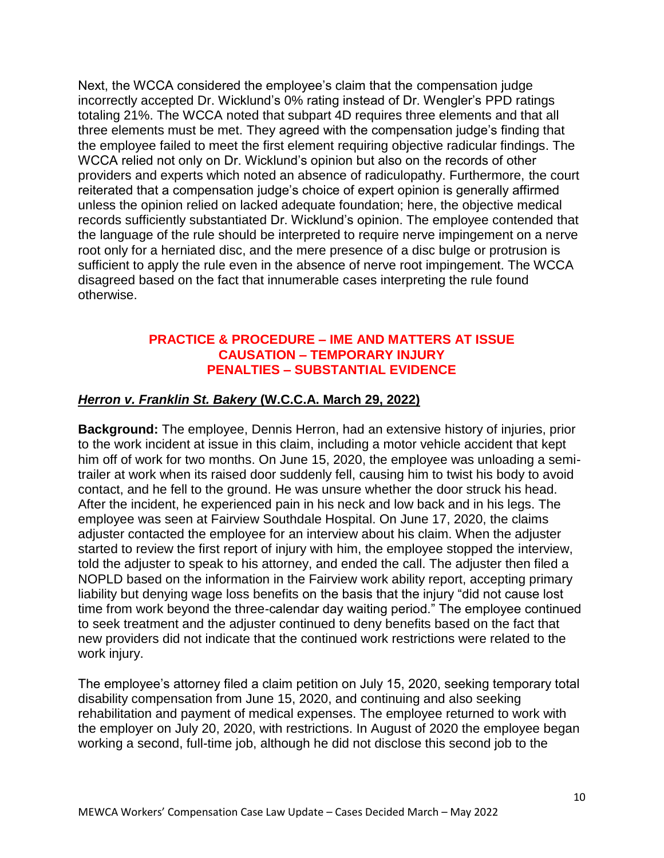Next, the WCCA considered the employee's claim that the compensation judge incorrectly accepted Dr. Wicklund's 0% rating instead of Dr. Wengler's PPD ratings totaling 21%. The WCCA noted that subpart 4D requires three elements and that all three elements must be met. They agreed with the compensation judge's finding that the employee failed to meet the first element requiring objective radicular findings. The WCCA relied not only on Dr. Wicklund's opinion but also on the records of other providers and experts which noted an absence of radiculopathy. Furthermore, the court reiterated that a compensation judge's choice of expert opinion is generally affirmed unless the opinion relied on lacked adequate foundation; here, the objective medical records sufficiently substantiated Dr. Wicklund's opinion. The employee contended that the language of the rule should be interpreted to require nerve impingement on a nerve root only for a herniated disc, and the mere presence of a disc bulge or protrusion is sufficient to apply the rule even in the absence of nerve root impingement. The WCCA disagreed based on the fact that innumerable cases interpreting the rule found otherwise.

## **PRACTICE & PROCEDURE – IME AND MATTERS AT ISSUE CAUSATION – TEMPORARY INJURY PENALTIES – SUBSTANTIAL EVIDENCE**

#### *Herron v. Franklin St. Bakery* **(W.C.C.A. March 29, 2022)**

**Background:** The employee, Dennis Herron, had an extensive history of injuries, prior to the work incident at issue in this claim, including a motor vehicle accident that kept him off of work for two months. On June 15, 2020, the employee was unloading a semitrailer at work when its raised door suddenly fell, causing him to twist his body to avoid contact, and he fell to the ground. He was unsure whether the door struck his head. After the incident, he experienced pain in his neck and low back and in his legs. The employee was seen at Fairview Southdale Hospital. On June 17, 2020, the claims adjuster contacted the employee for an interview about his claim. When the adjuster started to review the first report of injury with him, the employee stopped the interview, told the adjuster to speak to his attorney, and ended the call. The adjuster then filed a NOPLD based on the information in the Fairview work ability report, accepting primary liability but denying wage loss benefits on the basis that the injury "did not cause lost time from work beyond the three-calendar day waiting period." The employee continued to seek treatment and the adjuster continued to deny benefits based on the fact that new providers did not indicate that the continued work restrictions were related to the work injury.

The employee's attorney filed a claim petition on July 15, 2020, seeking temporary total disability compensation from June 15, 2020, and continuing and also seeking rehabilitation and payment of medical expenses. The employee returned to work with the employer on July 20, 2020, with restrictions. In August of 2020 the employee began working a second, full-time job, although he did not disclose this second job to the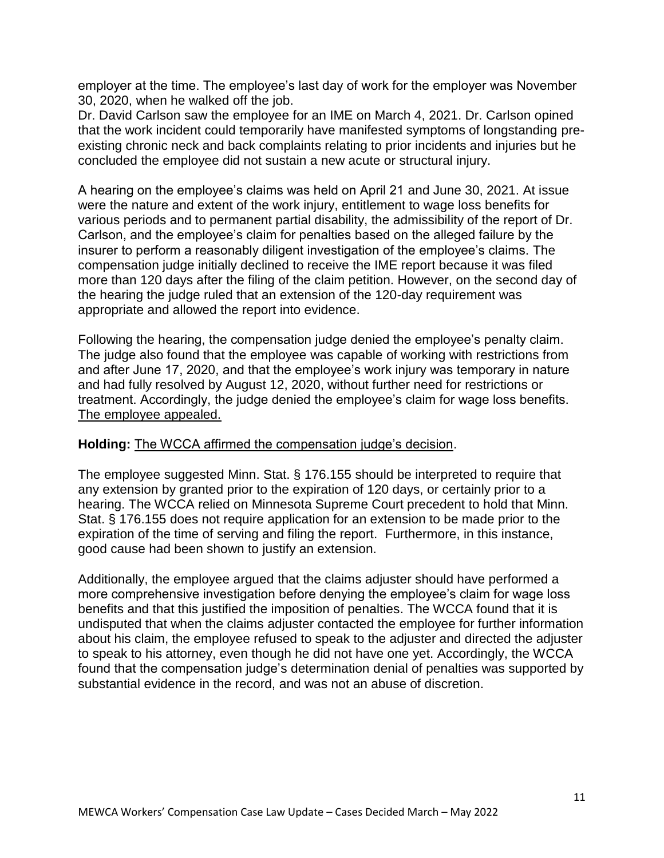employer at the time. The employee's last day of work for the employer was November 30, 2020, when he walked off the job.

Dr. David Carlson saw the employee for an IME on March 4, 2021. Dr. Carlson opined that the work incident could temporarily have manifested symptoms of longstanding preexisting chronic neck and back complaints relating to prior incidents and injuries but he concluded the employee did not sustain a new acute or structural injury.

A hearing on the employee's claims was held on April 21 and June 30, 2021. At issue were the nature and extent of the work injury, entitlement to wage loss benefits for various periods and to permanent partial disability, the admissibility of the report of Dr. Carlson, and the employee's claim for penalties based on the alleged failure by the insurer to perform a reasonably diligent investigation of the employee's claims. The compensation judge initially declined to receive the IME report because it was filed more than 120 days after the filing of the claim petition. However, on the second day of the hearing the judge ruled that an extension of the 120-day requirement was appropriate and allowed the report into evidence.

Following the hearing, the compensation judge denied the employee's penalty claim. The judge also found that the employee was capable of working with restrictions from and after June 17, 2020, and that the employee's work injury was temporary in nature and had fully resolved by August 12, 2020, without further need for restrictions or treatment. Accordingly, the judge denied the employee's claim for wage loss benefits. The employee appealed.

#### **Holding:** The WCCA affirmed the compensation judge's decision.

The employee suggested Minn. Stat. § 176.155 should be interpreted to require that any extension by granted prior to the expiration of 120 days, or certainly prior to a hearing. The WCCA relied on Minnesota Supreme Court precedent to hold that Minn. Stat. § 176.155 does not require application for an extension to be made prior to the expiration of the time of serving and filing the report. Furthermore, in this instance, good cause had been shown to justify an extension.

Additionally, the employee argued that the claims adjuster should have performed a more comprehensive investigation before denying the employee's claim for wage loss benefits and that this justified the imposition of penalties. The WCCA found that it is undisputed that when the claims adjuster contacted the employee for further information about his claim, the employee refused to speak to the adjuster and directed the adjuster to speak to his attorney, even though he did not have one yet. Accordingly, the WCCA found that the compensation judge's determination denial of penalties was supported by substantial evidence in the record, and was not an abuse of discretion.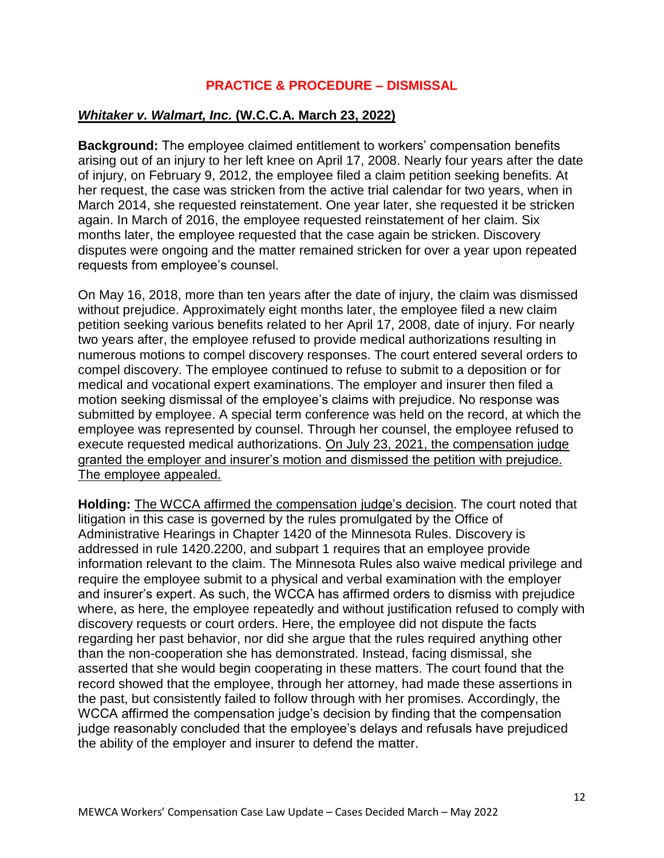# **PRACTICE & PROCEDURE – DISMISSAL**

#### *Whitaker v. Walmart, Inc.* **(W.C.C.A. March 23, 2022)**

**Background:** The employee claimed entitlement to workers' compensation benefits arising out of an injury to her left knee on April 17, 2008. Nearly four years after the date of injury, on February 9, 2012, the employee filed a claim petition seeking benefits. At her request, the case was stricken from the active trial calendar for two years, when in March 2014, she requested reinstatement. One year later, she requested it be stricken again. In March of 2016, the employee requested reinstatement of her claim. Six months later, the employee requested that the case again be stricken. Discovery disputes were ongoing and the matter remained stricken for over a year upon repeated requests from employee's counsel.

On May 16, 2018, more than ten years after the date of injury, the claim was dismissed without prejudice. Approximately eight months later, the employee filed a new claim petition seeking various benefits related to her April 17, 2008, date of injury. For nearly two years after, the employee refused to provide medical authorizations resulting in numerous motions to compel discovery responses. The court entered several orders to compel discovery. The employee continued to refuse to submit to a deposition or for medical and vocational expert examinations. The employer and insurer then filed a motion seeking dismissal of the employee's claims with prejudice. No response was submitted by employee. A special term conference was held on the record, at which the employee was represented by counsel. Through her counsel, the employee refused to execute requested medical authorizations. On July 23, 2021, the compensation judge granted the employer and insurer's motion and dismissed the petition with prejudice. The employee appealed.

**Holding:** The WCCA affirmed the compensation judge's decision. The court noted that litigation in this case is governed by the rules promulgated by the Office of Administrative Hearings in Chapter 1420 of the Minnesota Rules. Discovery is addressed in rule 1420.2200, and subpart 1 requires that an employee provide information relevant to the claim. The Minnesota Rules also waive medical privilege and require the employee submit to a physical and verbal examination with the employer and insurer's expert. As such, the WCCA has affirmed orders to dismiss with prejudice where, as here, the employee repeatedly and without justification refused to comply with discovery requests or court orders. Here, the employee did not dispute the facts regarding her past behavior, nor did she argue that the rules required anything other than the non-cooperation she has demonstrated. Instead, facing dismissal, she asserted that she would begin cooperating in these matters. The court found that the record showed that the employee, through her attorney, had made these assertions in the past, but consistently failed to follow through with her promises. Accordingly, the WCCA affirmed the compensation judge's decision by finding that the compensation judge reasonably concluded that the employee's delays and refusals have prejudiced the ability of the employer and insurer to defend the matter.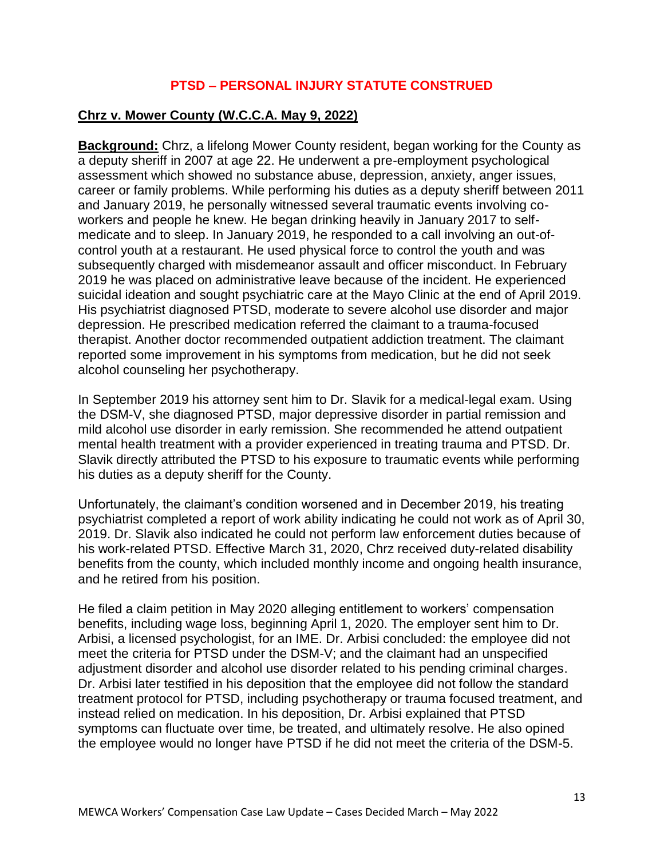# **PTSD – PERSONAL INJURY STATUTE CONSTRUED**

## **Chrz v. Mower County (W.C.C.A. May 9, 2022)**

**Background:** Chrz, a lifelong Mower County resident, began working for the County as a deputy sheriff in 2007 at age 22. He underwent a pre-employment psychological assessment which showed no substance abuse, depression, anxiety, anger issues, career or family problems. While performing his duties as a deputy sheriff between 2011 and January 2019, he personally witnessed several traumatic events involving coworkers and people he knew. He began drinking heavily in January 2017 to selfmedicate and to sleep. In January 2019, he responded to a call involving an out-ofcontrol youth at a restaurant. He used physical force to control the youth and was subsequently charged with misdemeanor assault and officer misconduct. In February 2019 he was placed on administrative leave because of the incident. He experienced suicidal ideation and sought psychiatric care at the Mayo Clinic at the end of April 2019. His psychiatrist diagnosed PTSD, moderate to severe alcohol use disorder and major depression. He prescribed medication referred the claimant to a trauma-focused therapist. Another doctor recommended outpatient addiction treatment. The claimant reported some improvement in his symptoms from medication, but he did not seek alcohol counseling her psychotherapy.

In September 2019 his attorney sent him to Dr. Slavik for a medical-legal exam. Using the DSM-V, she diagnosed PTSD, major depressive disorder in partial remission and mild alcohol use disorder in early remission. She recommended he attend outpatient mental health treatment with a provider experienced in treating trauma and PTSD. Dr. Slavik directly attributed the PTSD to his exposure to traumatic events while performing his duties as a deputy sheriff for the County.

Unfortunately, the claimant's condition worsened and in December 2019, his treating psychiatrist completed a report of work ability indicating he could not work as of April 30, 2019. Dr. Slavik also indicated he could not perform law enforcement duties because of his work-related PTSD. Effective March 31, 2020, Chrz received duty-related disability benefits from the county, which included monthly income and ongoing health insurance, and he retired from his position.

He filed a claim petition in May 2020 alleging entitlement to workers' compensation benefits, including wage loss, beginning April 1, 2020. The employer sent him to Dr. Arbisi, a licensed psychologist, for an IME. Dr. Arbisi concluded: the employee did not meet the criteria for PTSD under the DSM-V; and the claimant had an unspecified adjustment disorder and alcohol use disorder related to his pending criminal charges. Dr. Arbisi later testified in his deposition that the employee did not follow the standard treatment protocol for PTSD, including psychotherapy or trauma focused treatment, and instead relied on medication. In his deposition, Dr. Arbisi explained that PTSD symptoms can fluctuate over time, be treated, and ultimately resolve. He also opined the employee would no longer have PTSD if he did not meet the criteria of the DSM-5.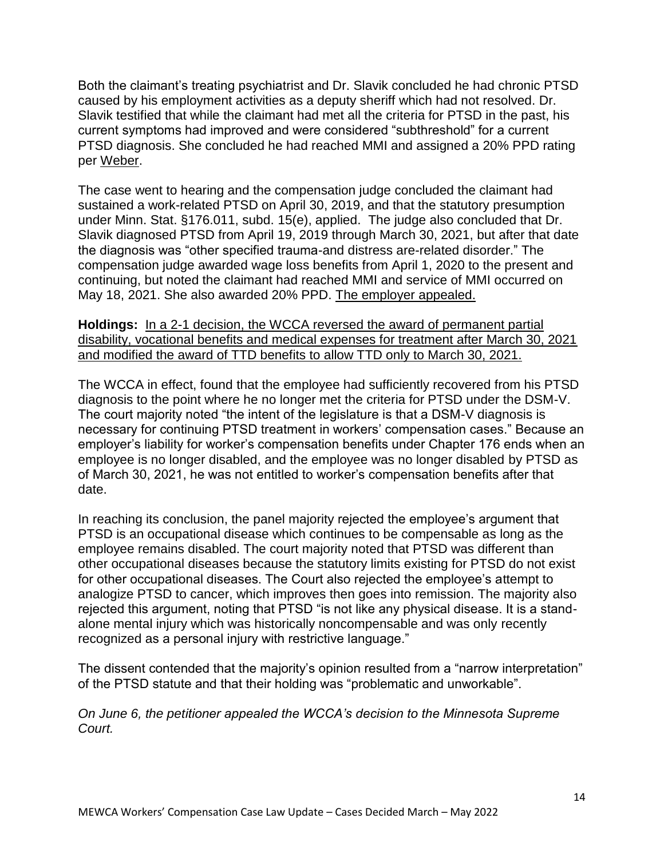Both the claimant's treating psychiatrist and Dr. Slavik concluded he had chronic PTSD caused by his employment activities as a deputy sheriff which had not resolved. Dr. Slavik testified that while the claimant had met all the criteria for PTSD in the past, his current symptoms had improved and were considered "subthreshold" for a current PTSD diagnosis. She concluded he had reached MMI and assigned a 20% PPD rating per Weber.

The case went to hearing and the compensation judge concluded the claimant had sustained a work-related PTSD on April 30, 2019, and that the statutory presumption under Minn. Stat. §176.011, subd. 15(e), applied. The judge also concluded that Dr. Slavik diagnosed PTSD from April 19, 2019 through March 30, 2021, but after that date the diagnosis was "other specified trauma-and distress are-related disorder." The compensation judge awarded wage loss benefits from April 1, 2020 to the present and continuing, but noted the claimant had reached MMI and service of MMI occurred on May 18, 2021. She also awarded 20% PPD. The employer appealed.

**Holdings:** In a 2-1 decision, the WCCA reversed the award of permanent partial disability, vocational benefits and medical expenses for treatment after March 30, 2021 and modified the award of TTD benefits to allow TTD only to March 30, 2021.

The WCCA in effect, found that the employee had sufficiently recovered from his PTSD diagnosis to the point where he no longer met the criteria for PTSD under the DSM-V. The court majority noted "the intent of the legislature is that a DSM-V diagnosis is necessary for continuing PTSD treatment in workers' compensation cases." Because an employer's liability for worker's compensation benefits under Chapter 176 ends when an employee is no longer disabled, and the employee was no longer disabled by PTSD as of March 30, 2021, he was not entitled to worker's compensation benefits after that date.

In reaching its conclusion, the panel majority rejected the employee's argument that PTSD is an occupational disease which continues to be compensable as long as the employee remains disabled. The court majority noted that PTSD was different than other occupational diseases because the statutory limits existing for PTSD do not exist for other occupational diseases. The Court also rejected the employee's attempt to analogize PTSD to cancer, which improves then goes into remission. The majority also rejected this argument, noting that PTSD "is not like any physical disease. It is a standalone mental injury which was historically noncompensable and was only recently recognized as a personal injury with restrictive language."

The dissent contended that the majority's opinion resulted from a "narrow interpretation" of the PTSD statute and that their holding was "problematic and unworkable".

*On June 6, the petitioner appealed the WCCA's decision to the Minnesota Supreme Court.*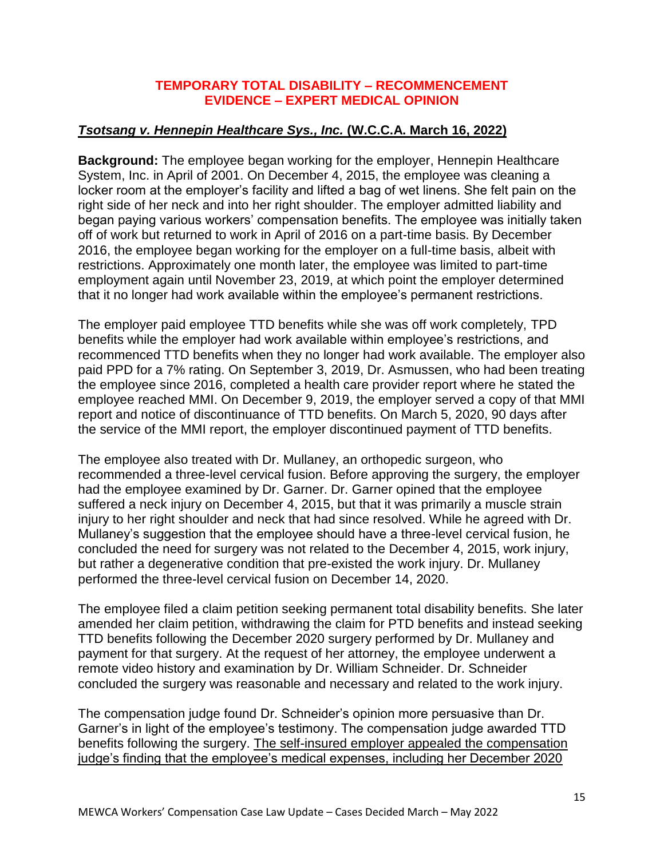#### **TEMPORARY TOTAL DISABILITY – RECOMMENCEMENT EVIDENCE – EXPERT MEDICAL OPINION**

# *Tsotsang v. Hennepin Healthcare Sys., Inc.* **(W.C.C.A. March 16, 2022)**

**Background:** The employee began working for the employer, Hennepin Healthcare System, Inc. in April of 2001. On December 4, 2015, the employee was cleaning a locker room at the employer's facility and lifted a bag of wet linens. She felt pain on the right side of her neck and into her right shoulder. The employer admitted liability and began paying various workers' compensation benefits. The employee was initially taken off of work but returned to work in April of 2016 on a part-time basis. By December 2016, the employee began working for the employer on a full-time basis, albeit with restrictions. Approximately one month later, the employee was limited to part-time employment again until November 23, 2019, at which point the employer determined that it no longer had work available within the employee's permanent restrictions.

The employer paid employee TTD benefits while she was off work completely, TPD benefits while the employer had work available within employee's restrictions, and recommenced TTD benefits when they no longer had work available. The employer also paid PPD for a 7% rating. On September 3, 2019, Dr. Asmussen, who had been treating the employee since 2016, completed a health care provider report where he stated the employee reached MMI. On December 9, 2019, the employer served a copy of that MMI report and notice of discontinuance of TTD benefits. On March 5, 2020, 90 days after the service of the MMI report, the employer discontinued payment of TTD benefits.

The employee also treated with Dr. Mullaney, an orthopedic surgeon, who recommended a three-level cervical fusion. Before approving the surgery, the employer had the employee examined by Dr. Garner. Dr. Garner opined that the employee suffered a neck injury on December 4, 2015, but that it was primarily a muscle strain injury to her right shoulder and neck that had since resolved. While he agreed with Dr. Mullaney's suggestion that the employee should have a three-level cervical fusion, he concluded the need for surgery was not related to the December 4, 2015, work injury, but rather a degenerative condition that pre-existed the work injury. Dr. Mullaney performed the three-level cervical fusion on December 14, 2020.

The employee filed a claim petition seeking permanent total disability benefits. She later amended her claim petition, withdrawing the claim for PTD benefits and instead seeking TTD benefits following the December 2020 surgery performed by Dr. Mullaney and payment for that surgery. At the request of her attorney, the employee underwent a remote video history and examination by Dr. William Schneider. Dr. Schneider concluded the surgery was reasonable and necessary and related to the work injury.

The compensation judge found Dr. Schneider's opinion more persuasive than Dr. Garner's in light of the employee's testimony. The compensation judge awarded TTD benefits following the surgery. The self-insured employer appealed the compensation judge's finding that the employee's medical expenses, including her December 2020